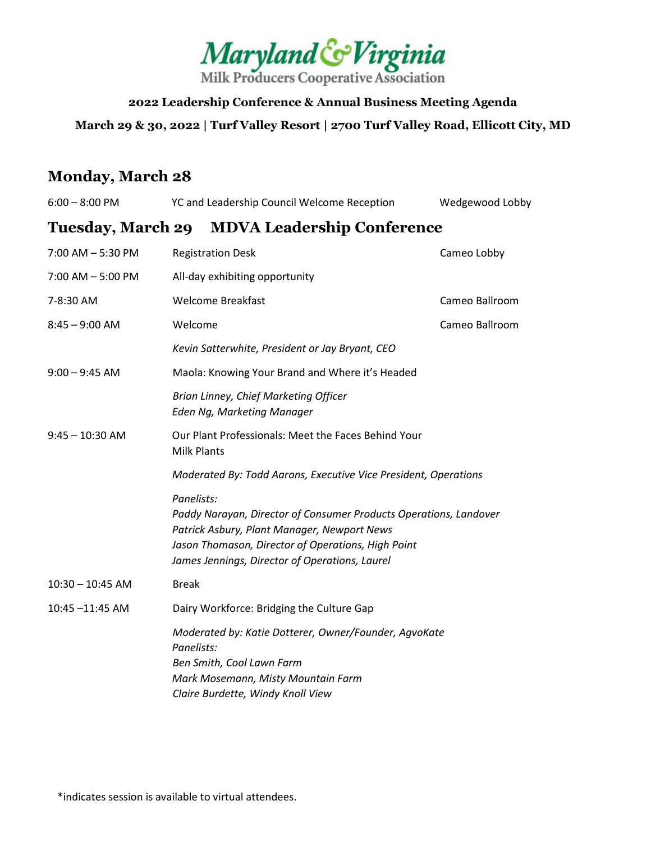

**2022 Leadership Conference & Annual Business Meeting Agenda March 29 & 30, 2022 | Turf Valley Resort | 2700 Turf Valley Road, Ellicott City, MD**

## **Monday, March 28**

| $6:00 - 8:00$ PM     | YC and Leadership Council Welcome Reception                                                                                                                                                                                            | Wedgewood Lobby |  |
|----------------------|----------------------------------------------------------------------------------------------------------------------------------------------------------------------------------------------------------------------------------------|-----------------|--|
|                      | Tuesday, March 29 MDVA Leadership Conference                                                                                                                                                                                           |                 |  |
| 7:00 AM - 5:30 PM    | <b>Registration Desk</b>                                                                                                                                                                                                               | Cameo Lobby     |  |
| $7:00$ AM $-5:00$ PM | All-day exhibiting opportunity                                                                                                                                                                                                         |                 |  |
| 7-8:30 AM            | <b>Welcome Breakfast</b>                                                                                                                                                                                                               | Cameo Ballroom  |  |
| $8:45 - 9:00$ AM     | Welcome                                                                                                                                                                                                                                | Cameo Ballroom  |  |
|                      | Kevin Satterwhite, President or Jay Bryant, CEO                                                                                                                                                                                        |                 |  |
| $9:00 - 9:45$ AM     | Maola: Knowing Your Brand and Where it's Headed                                                                                                                                                                                        |                 |  |
|                      | Brian Linney, Chief Marketing Officer<br>Eden Ng, Marketing Manager                                                                                                                                                                    |                 |  |
| $9:45 - 10:30$ AM    | Our Plant Professionals: Meet the Faces Behind Your<br><b>Milk Plants</b>                                                                                                                                                              |                 |  |
|                      | Moderated By: Todd Aarons, Executive Vice President, Operations                                                                                                                                                                        |                 |  |
|                      | Panelists:<br>Paddy Narayan, Director of Consumer Products Operations, Landover<br>Patrick Asbury, Plant Manager, Newport News<br>Jason Thomason, Director of Operations, High Point<br>James Jennings, Director of Operations, Laurel |                 |  |
| $10:30 - 10:45$ AM   | <b>Break</b>                                                                                                                                                                                                                           |                 |  |
| 10:45 -11:45 AM      | Dairy Workforce: Bridging the Culture Gap                                                                                                                                                                                              |                 |  |
|                      | Moderated by: Katie Dotterer, Owner/Founder, AgvoKate<br>Panelists:<br>Ben Smith, Cool Lawn Farm<br>Mark Mosemann, Misty Mountain Farm<br>Claire Burdette, Windy Knoll View                                                            |                 |  |
|                      |                                                                                                                                                                                                                                        |                 |  |

\*indicates session is available to virtual attendees.